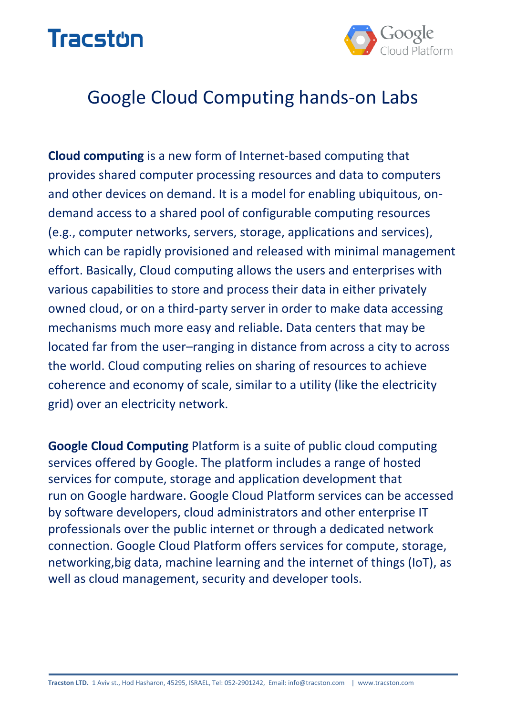



# Google Cloud Computing hands-on Labs

**Cloud computing** is a new form of Internet-based computing that provides shared computer processing resources and data to computers and other devices on demand. It is a model for enabling ubiquitous, ondemand access to a shared pool of configurable computing resources (e.g., computer networks, servers, storage, applications and services), which can be rapidly provisioned and released with minimal management effort. Basically, Cloud computing allows the users and enterprises with various capabilities to store and process their data in either privately owned cloud, or on a third-party server in order to make data accessing mechanisms much more easy and reliable. Data centers that may be located far from the user–ranging in distance from across a city to across the world. Cloud computing relies on sharing of resources to achieve coherence and economy of scale, similar to a utility (like the electricity grid) over an electricity network.

**Google Cloud Computing** Platform is a suite of public cloud computing services offered by Google. The platform includes a range of hosted services for compute, storage and application development that run on Google hardware. Google Cloud Platform services can be accessed by software developers, cloud administrators and other enterprise IT professionals over the public internet or through a dedicated network connection. Google Cloud Platform offers services for compute, storage, networking,big data, machine learning and the internet of things (IoT), as well as cloud management, security and developer tools.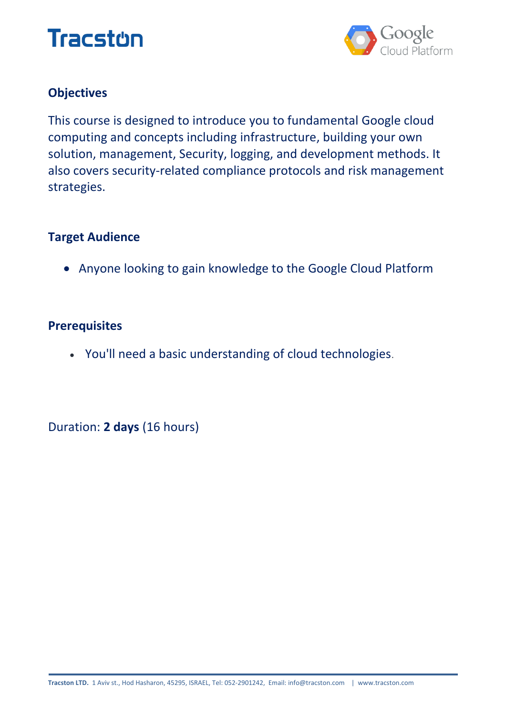



## **Objectives**

This course is designed to introduce you to fundamental Google cloud computing and concepts including infrastructure, building your own solution, management, Security, logging, and development methods. It also covers security-related compliance protocols and risk management strategies.

#### **Target Audience**

Anyone looking to gain knowledge to the Google Cloud Platform

#### **Prerequisites**

You'll need a basic understanding of cloud technologies.

Duration: **2 days** (16 hours)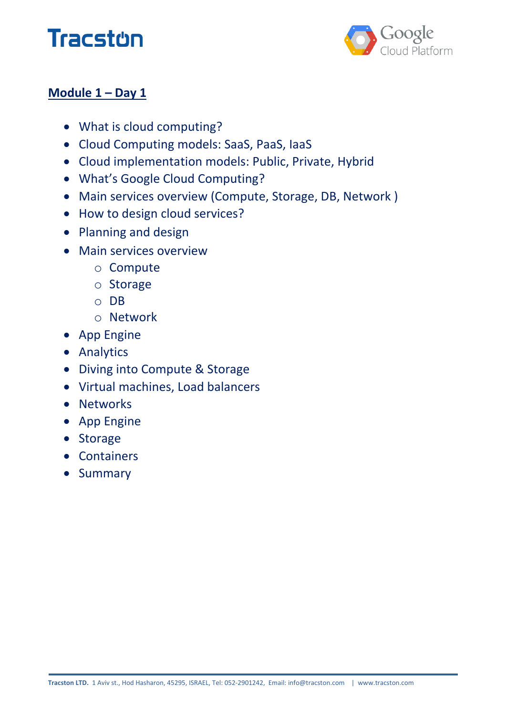



## **Module 1 – Day 1**

- What is cloud computing?
- Cloud Computing models: SaaS, PaaS, IaaS
- Cloud implementation models: Public, Private, Hybrid
- What's Google Cloud Computing?
- Main services overview (Compute, Storage, DB, Network )
- How to design cloud services?
- Planning and design
- Main services overview
	- o Compute
	- o Storage
	- o DB
	- o Network
- App Engine
- **•** Analytics
- Diving into Compute & Storage
- Virtual machines, Load balancers
- Networks
- App Engine
- Storage
- Containers
- **•** Summary